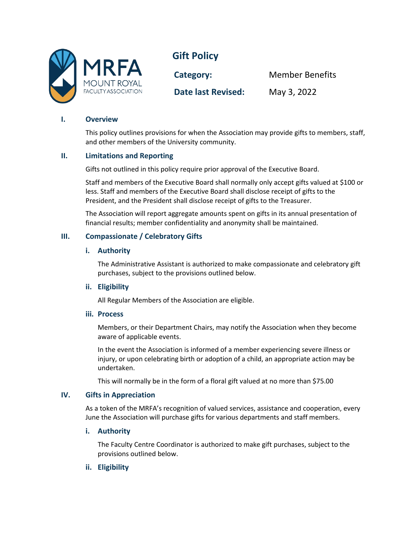

**Gift Policy** 

**Category:** Member Benefits **Date last Revised:** May 3, 2022

## **I. Overview**

This policy outlines provisions for when the Association may provide gifts to members, staff, and other members of the University community.

### **II. Limitations and Reporting**

Gifts not outlined in this policy require prior approval of the Executive Board.

Staff and members of the Executive Board shall normally only accept gifts valued at \$100 or less. Staff and members of the Executive Board shall disclose receipt of gifts to the President, and the President shall disclose receipt of gifts to the Treasurer.

The Association will report aggregate amounts spent on gifts in its annual presentation of financial results; member confidentiality and anonymity shall be maintained.

# **III. Compassionate / Celebratory Gifts**

#### **i. Authority**

The Administrative Assistant is authorized to make compassionate and celebratory gift purchases, subject to the provisions outlined below.

### **ii. Eligibility**

All Regular Members of the Association are eligible.

#### **iii. Process**

Members, or their Department Chairs, may notify the Association when they become aware of applicable events.

In the event the Association is informed of a member experiencing severe illness or injury, or upon celebrating birth or adoption of a child, an appropriate action may be undertaken.

This will normally be in the form of a floral gift valued at no more than \$75.00

### **IV. Gifts in Appreciation**

As a token of the MRFA's recognition of valued services, assistance and cooperation, every June the Association will purchase gifts for various departments and staff members.

### **i. Authority**

The Faculty Centre Coordinator is authorized to make gift purchases, subject to the provisions outlined below.

### **ii. Eligibility**